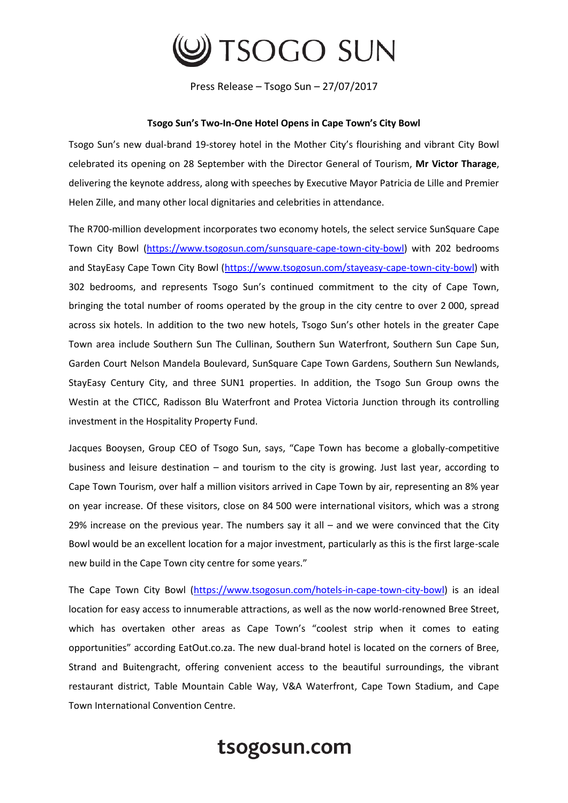

Press Release – Tsogo Sun – 27/07/2017

## **Tsogo Sun's Two-In-One Hotel Opens in Cape Town's City Bowl**

Tsogo Sun's new dual-brand 19-storey hotel in the Mother City's flourishing and vibrant City Bowl celebrated its opening on 28 September with the Director General of Tourism, **Mr Victor Tharage**, delivering the keynote address, along with speeches by Executive Mayor Patricia de Lille and Premier Helen Zille, and many other local dignitaries and celebrities in attendance.

The R700-million development incorporates two economy hotels, the select service SunSquare Cape Town City Bowl [\(https://www.tsogosun.com/sunsquare-cape-town-city-bowl\)](https://www.tsogosun.com/sunsquare-cape-town-city-bowl) with 202 bedrooms and StayEasy Cape Town City Bowl [\(https://www.tsogosun.com/stayeasy-cape-town-city-bowl\)](https://www.tsogosun.com/stayeasy-cape-town-city-bowl) with 302 bedrooms, and represents Tsogo Sun's continued commitment to the city of Cape Town, bringing the total number of rooms operated by the group in the city centre to over 2 000, spread across six hotels. In addition to the two new hotels, Tsogo Sun's other hotels in the greater Cape Town area include Southern Sun The Cullinan, Southern Sun Waterfront, Southern Sun Cape Sun, Garden Court Nelson Mandela Boulevard, SunSquare Cape Town Gardens, Southern Sun Newlands, StayEasy Century City, and three SUN1 properties. In addition, the Tsogo Sun Group owns the Westin at the CTICC, Radisson Blu Waterfront and Protea Victoria Junction through its controlling investment in the Hospitality Property Fund.

Jacques Booysen, Group CEO of Tsogo Sun, says, "Cape Town has become a globally-competitive business and leisure destination – and tourism to the city is growing. Just last year, according to Cape Town Tourism, over half a million visitors arrived in Cape Town by air, representing an 8% year on year increase. Of these visitors, close on 84 500 were international visitors, which was a strong 29% increase on the previous year. The numbers say it all  $-$  and we were convinced that the City Bowl would be an excellent location for a major investment, particularly as this is the first large-scale new build in the Cape Town city centre for some years."

The Cape Town City Bowl [\(https://www.tsogosun.com/hotels-in-cape-town-city-bowl\)](https://www.tsogosun.com/hotels-in-cape-town-city-bowl) is an ideal location for easy access to innumerable attractions, as well as the now world-renowned Bree Street, which has overtaken other areas as Cape Town's "coolest strip when it comes to eating opportunities" according EatOut.co.za. The new dual-brand hotel is located on the corners of Bree, Strand and Buitengracht, offering convenient access to the beautiful surroundings, the vibrant restaurant district, Table Mountain Cable Way, V&A Waterfront, Cape Town Stadium, and Cape Town International Convention Centre.

## tsogosun.com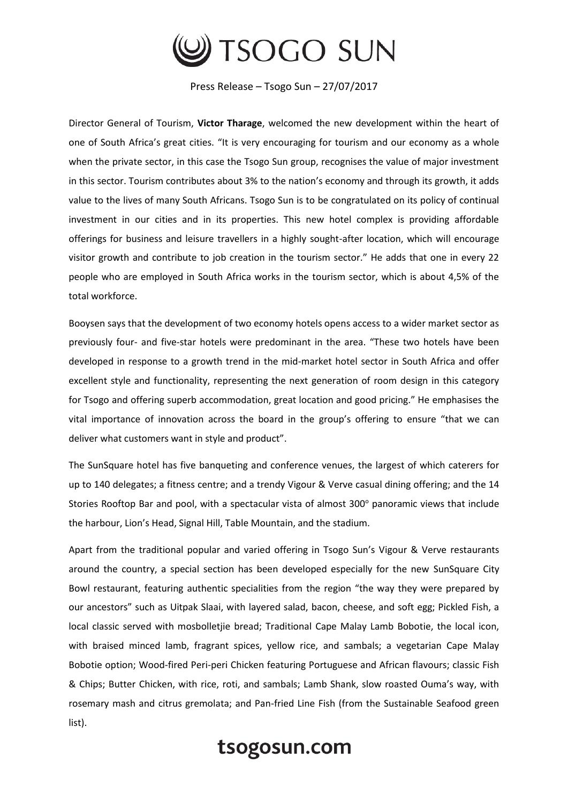

Press Release – Tsogo Sun – 27/07/2017

Director General of Tourism, **Victor Tharage**, welcomed the new development within the heart of one of South Africa's great cities. "It is very encouraging for tourism and our economy as a whole when the private sector, in this case the Tsogo Sun group, recognises the value of major investment in this sector. Tourism contributes about 3% to the nation's economy and through its growth, it adds value to the lives of many South Africans. Tsogo Sun is to be congratulated on its policy of continual investment in our cities and in its properties. This new hotel complex is providing affordable offerings for business and leisure travellers in a highly sought-after location, which will encourage visitor growth and contribute to job creation in the tourism sector." He adds that one in every 22 people who are employed in South Africa works in the tourism sector, which is about 4,5% of the total workforce.

Booysen says that the development of two economy hotels opens access to a wider market sector as previously four- and five-star hotels were predominant in the area. "These two hotels have been developed in response to a growth trend in the mid-market hotel sector in South Africa and offer excellent style and functionality, representing the next generation of room design in this category for Tsogo and offering superb accommodation, great location and good pricing." He emphasises the vital importance of innovation across the board in the group's offering to ensure "that we can deliver what customers want in style and product".

The SunSquare hotel has five banqueting and conference venues, the largest of which caterers for up to 140 delegates; a fitness centre; and a trendy Vigour & Verve casual dining offering; and the 14 Stories Rooftop Bar and pool, with a spectacular vista of almost 300° panoramic views that include the harbour, Lion's Head, Signal Hill, Table Mountain, and the stadium.

Apart from the traditional popular and varied offering in Tsogo Sun's Vigour & Verve restaurants around the country, a special section has been developed especially for the new SunSquare City Bowl restaurant, featuring authentic specialities from the region "the way they were prepared by our ancestors" such as Uitpak Slaai, with layered salad, bacon, cheese, and soft egg; Pickled Fish, a local classic served with mosbolletjie bread; Traditional Cape Malay Lamb Bobotie, the local icon, with braised minced lamb, fragrant spices, yellow rice, and sambals; a vegetarian Cape Malay Bobotie option; Wood-fired Peri-peri Chicken featuring Portuguese and African flavours; classic Fish & Chips; Butter Chicken, with rice, roti, and sambals; Lamb Shank, slow roasted Ouma's way, with rosemary mash and citrus gremolata; and Pan-fried Line Fish (from the Sustainable Seafood green list).

## tsogosun.com